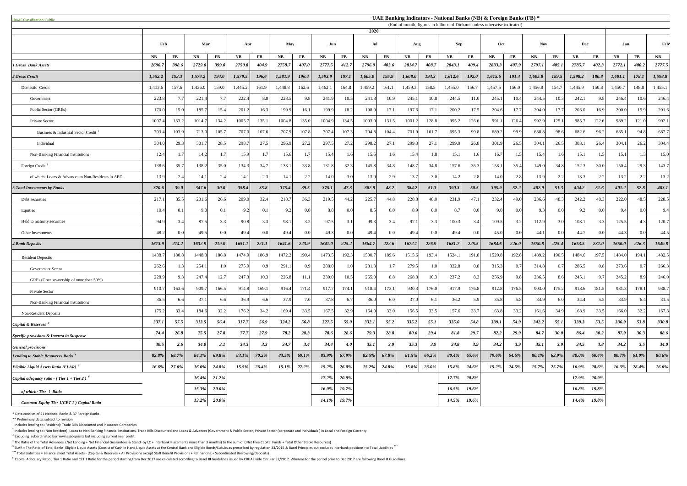| <b>CBUAE Classification: Public.</b>                   |             |       | UAE Banking Indicators - National Banks (NB) & Foreign Banks (FB) *<br>(End of month, figures in billions of Dirhams unless otherwise indicated) |                  |           |               |               |       |         |          |         |          |           |           |            |              |         |           |               |            |               |           |          |               |               |
|--------------------------------------------------------|-------------|-------|--------------------------------------------------------------------------------------------------------------------------------------------------|------------------|-----------|---------------|---------------|-------|---------|----------|---------|----------|-----------|-----------|------------|--------------|---------|-----------|---------------|------------|---------------|-----------|----------|---------------|---------------|
|                                                        |             |       |                                                                                                                                                  |                  |           |               |               |       |         |          | 2020    |          |           |           |            |              |         |           |               |            |               |           |          |               |               |
|                                                        | Feb         |       | Mar                                                                                                                                              |                  | Apr       |               | May           |       | Jun     |          | Jul     |          | Aug       |           | <b>Sep</b> |              | Oct     |           | <b>Nov</b>    |            | <b>Dec</b>    |           | Jan      |               | <b>Feb</b>    |
|                                                        | <b>NB</b>   | FB    | NB                                                                                                                                               | $\bf FB$         | <b>NB</b> | $\mathbf{FB}$ | $N\mathbf{B}$ | FB    | NB      | $\bf FB$ | NB      | $\bf FB$ | <b>NB</b> | <b>FB</b> | <b>NB</b>  | <b>FB</b>    | NB      | <b>FB</b> | $N\mathbf{B}$ | $\bf FB$   | $N\mathbf{B}$ | <b>FB</b> | NB       | $\mathbf{FB}$ | $N\mathbf{B}$ |
| <b>1.Gross Bank Assets</b>                             | 2696.7      | 398.6 | 2729.0                                                                                                                                           | <b>399.0</b>     | 2750.8    | 404.9         | 2758.7        | 407.0 | 2777.5  | 412.7    | 2796.9  | 403.6    | 2814.7    | 408.7     | 2843.1     | 409.4        | 2833.3  | 407.9     | 2797.1        | 405.1      | 2785.7        | 402.3     | 2772.1   | 400.2         | 2777.5        |
| 2.Gross Credit                                         | 1,552.2     | 193.3 | 1,574.2                                                                                                                                          | <b>194.0</b>     | 1,579.5   | 196.6         | 1,581.9       | 196.4 | 1,593.9 | 197.1    | 1,605.0 | 195.9    | 1,608.0   | 193.3     | 1,612.6    | <b>192.0</b> | 1,615.6 | 191.4     | 1,605.8       | 189.5      | 1,598.2       | 180.8     | 1,601.1  | 178.1         | 1,598.8       |
| Domestic Credit                                        | 1,413.6     | 157.6 | 1,436.0                                                                                                                                          | 159.0            | 1,445.2   | 161.9         | 1,448.8       | 162.6 | 1,462.1 | 164.8    | 1,459.2 | 161.1    | 1,459.3   | 158.5     | 1,455.0    | 156.7        | 1,457.5 | 156.0     | 1,456.8       | 154.7      | 1,445.9       | 150.8     | 1,450.7  | 148.8         | 1,455.1       |
| Government                                             | 223.8       |       | 221.4                                                                                                                                            | 7.7 <sub>l</sub> | 222.4     | 8.8           | 228.5         | 9.8   | 241.9   | 10.5     | 241.8   | 10.9     | 245.1     | 10.8      | 244.5      | 11.0         | 245.1   | 10.4      | 244.5         | 10.3       | 242.          | 9.8       | 246.4    | 10.6          | 246.4         |
| Public Sector (GREs)                                   | 170.0       | 15.0  | 185.                                                                                                                                             | 15.4             | 201.2     | 16.3          | 199.9         | 16.1  | 199.9   | 18.2     | 198.9   | 17.1     | 197.6     | 17.       | 200.2      | 17.5         | 204.6   | 17.7      | 204.0         | 17.7       | 203.0         | 16.9      | 200.0    | 15.9          | 201.6         |
| Private Sector                                         | 1007.4      | 133.2 | 1014.7                                                                                                                                           | 134.2            | 1005.7    | 135.1         | 1004.8        | 135.0 | 1004.9  | 134.5    | 1003.0  | 131.5    | 1001.2    | 128.8     | 995.2      | 126.6        | 991.    | 126.4     | 992.9         | 125.1      | 985.7         | 122.6     | 989.2    | 121.0         | 992.1         |
| Business & Industrial Sector Credit                    | 703.4       | 103.9 | 713.0                                                                                                                                            | 105.7            | 707.0     | 107.6         | 707.9         | 107.8 | 707.4   | 107.3    | 704.8   | 104.4    | 701.9     | 101.      | 695.3      | 99.8         | 689.2   | 99.9      | 688.8         | 98.6       | 682.6         | 96.2      | 685.1    | 94.8          | 687.          |
| Individual                                             | 304.0       | 29.3  | 301.7                                                                                                                                            | 28.5             | 298.7     | 27.5          | 296.9         | 27.2  | 297.5   | 27.2     | 298.2   | 27.1     | 299.3     | 27.       | 299.9      | 26.8         | 301.9   | 26.5      | 304.          | 26.5       | 303.1         | 26.4      | 304.1    | 26.2          | 304.4         |
| Non-Banking Financial Institutions                     | 12.4        |       | 14.2                                                                                                                                             |                  | 15.9      |               | 15.6          |       | 15.4    | 1.6      | 15.5    | 161      | 15.4      |           | 15.1       | 1.6          | 16.7    |           | 15.4          |            | 15.1          |           | 15.1     |               | 15.0          |
| Foreign Credit <sup>2</sup>                            | 138.6       | 35.7  | 138.2                                                                                                                                            | 35.0             | 134.3     | 34.7          | 133.1         | 33.8  | 131.8   | 32.3     | 145.8   | 34.8     | 148.7     | 34.8      | 157.6      | 35.3         | 158.1   | 35.4      | 149.0         | 34.8       | 152.3         | 30.0      | 150.4    | 29.3          | 143.7         |
| of which: Loans & Advances to Non-Residents in AED     | 13.9        | 2.4   | 14.1                                                                                                                                             | 2.4              | 14.1      | 2.3           | 14.           | 2.2   | 14.0    | 3.O      | 13.9    | 2.9      | 13.7      | 3.0       | 14.2       | 2.8          | 14.0    | 2.8       | 13.9          | 2.2        | 13.3          | 2.2       | 13.2     | 22            | 13.2          |
| <b>3. Total Investments by Banks</b>                   | 370.6       | 39.0  | 347.6                                                                                                                                            | 30.0             | 358.4     | 35.8          | 375.4         | 39.5  | 375.1   | 47.3     | 382.9   | 48.2     | 384.2     | 51.3      | 390.3      | 50.5         | 395.9   | 52.2      | 402.9         | 51.3       | 404.2         | 51.6      | 401.2    | 52.8          | 403.1         |
| Debt securities                                        | 217.1       | 35.5  | 201.6                                                                                                                                            | 26.6             | 209.0     | 32.4          | 218.7         | 36.3  | 219.5   | 44.2     | 225.    | 44.8     | 228.8     | 48.0      | 231.9      | 47.1         | 232.4   | 49.0      | 236.6         | 48.3       | 242.2         | 48.3      | 222.0    | 48.5          | 228.5         |
| Equities                                               | 10.4        |       | -9.0                                                                                                                                             |                  | 92        | 0.1           | 9.2           |       | 8.8     | 0.0      | 8.5     |          | 8.9       | -0.0      | 8.7        | 0.0          | 9.0     | 0.0       | 9.3           | $\Omega$ ( | 92            | 0(        | 9.4      | 0.01          | 9.4           |
| Held to maturity securities                            | 94.9        | 3.4   | 87.5                                                                                                                                             |                  | 90.8      | 3.3           | 98.           | 3.2   | 97.5    | 3.1      | 99.3    |          | 97.1      | 3.3       | 100.3      | 3.4          | 109.5   | 3.2       | 112.9         | 3.0        | 108.1         | 3.3       | 125.5    |               | 120.7         |
| Other Investments                                      | 48.2        |       | 49.5                                                                                                                                             |                  | 49.4      | 0.0           | 49.4          |       | 49.3    | 0.0      | 49.4    | 00       | 49.4      | 0.0       | 49.4       | 0.0          | 45.0    | 0.0       | 44.1          | 0.0        | 44.7          | 0.0       | 44.3     | $\Omega$      | 44.5          |
| <b>4.Bank Deposits</b>                                 | 1613.9      | 214.2 | 1632.9                                                                                                                                           | 219.0            | 1651.1    | 221.1         | 1641.6        | 223.9 | 1641.0  | 225.2    | 1664.7  | 222.6    | 1672.1    | 226.9     | 1681.7     | 225.5        | 1684.6  | 226.0     | 1650.8        | 225.4      | 1653.5        | 231.0     | 1650.0   | 226.3         | 1649.8        |
| <b>Resident Deposits</b>                               | 1438.7      | 180.8 | 1448.3                                                                                                                                           | 186.8            | 1474.9    | 186.9         | 1472.2        | 190.4 | 1473.5  | 192.3    | 1500.   | 189.6    | 1515.6    | 193.      | 1524.1     | 191.8        | 1520.8  | 192.8     | 1489.2        | 190.5      | 1484.6        | 197.5     | 1484.0   | 194.1         | 1482.5        |
| <b>Government Sector</b>                               | 262.6       | 1.3   | 254.1                                                                                                                                            | 1.01             | 275.9     | 0.9           | 291.1         | 0.9   | 288.0   | 1.0      | 281.3   | 1.7      | 279.5     |           | 332.8      | 0.8          | 315.3   | 0.7       | 314.8         | 0.7        | 286.5         | 0.8       | 273.6    | 0.7           | 266.3         |
| GREs (Govt. ownership of more than 50%)                | 228.9       | 9.3   | 247.4                                                                                                                                            | 12.7             | 247.3     | 10.3          | 226.8         | 11.1  | 230.0   | 10.5     | 265.0   | 8.8      | 268.8     | 10.3      | 237.2      | 8.3          | 256.9   | 9.8       | 236.5         | 8.6        | 245.          | 9.7       | 245.2    | 8.9           | 246.0         |
| Private Sector                                         | 910.7       | 163.6 | 909.                                                                                                                                             | 166.5            | 914.8     | 169.1         | 916.4         | 171.4 | 917.    | 174.1    | 918.4   | 173.1    | 930.3     | 176.0     | 917.9      | 176.8        | 912.8   | 176.5     | 903.0         | 175.2      | 918.6         | 181.5     | 931.3    | 178.1         | 938.7         |
| Non-Banking Financial Institutions                     | 36.5        | 6.6   | 37.1                                                                                                                                             |                  | 36.9      | 6.6           | 37.9          |       | 37.8    | 6.7      | 36.0    | 6.0      | 37.0      | -6.       | 36.2       | 5.9          | 35.8    | 5.8       | 34.9          | 6.0        | 34.4          | 5.5       | 33.9     | 6.4           | 31.5          |
| Non-Resident Deposits                                  | 175.2       | 33.4  | 184.6                                                                                                                                            | 32.2             | 176.2     | 34.2          | 169.4         | 33.5  | 167.5   | 32.9     | 164.0   | 33.0     | 156.5     | 33.5      | 157.6      | 33.7         | 163.8   | 33.2      | 161.6         | 34.9       | 168.9         | 33.5      | 166.0    | 32.2          | 167.3         |
| <i>Capital &amp; Reserves</i> <sup>3</sup>             | 337.1       | 57.5  | 313.5                                                                                                                                            | 56.4             | 317.7     | 56.9          | 324.2         | 56.8  | 327.5   | 55.0     | 332.1   | 55.2     | 335.2     | 55.1      | 335.0      | 54.8         | 339.1   | 54.9      | 342.2         | 55.1       | 339.3         | 53.5      | 336.9    | 53.8          | 330.8         |
| Specific provisions & Interest in Suspense             | 74.4        | 26.8  | 75.5                                                                                                                                             | 27.8             | 77.7      | 27.9          | 78.2          | 28.3  | 78.6    | 28.6     | 79.3    | 28.8     | 80.6      | 29.4      | 81.8       | 29.7         | 82.2    | 29.9      | 84.7          | 30.0       | 86.4          | 30.2      | 87.9     | 30.3          | 88.6          |
| <b>General provisions</b>                              | <b>30.5</b> | 2.6   | <b>34.0</b>                                                                                                                                      | 3.1              | 34.3      | 3.3           | 34.7          | 3.4   | 34.4    | 4.0      | 35.1    | 3.9      | 35.3      | 3.9       | 34.8       | 3.9          | 34.2    | 3.9       | 35.1          | 3.9        | 34.5          | 3.8       | 34.2     | 3.5           | <b>34.0</b>   |
| Lending to Stable Resources Ratio <sup>4</sup>         | 82.8%       | 68.7% | 84.1%                                                                                                                                            | 69.8%            | 83.1%     | $70.2\%$      | 83.5%         | 69.1% | 83.9%   | 67.9%    | 82.5%   | 67.8%    | 81.5%     | 66.2%     | $80.4\%$   | 65.6%        | 79.6%   | 64.6%     | 80.1%         | 63.9%      | 80.0%         | $60.4\%$  | $80.7\%$ | 61.0%         | 80.6%         |
| Eligible Liquid Assets Ratio (ELAR) <sup>5</sup>       | 16.6%       | 27.6% | $16.0\%$                                                                                                                                         | 24.8%            | 15.5%     | 26.4%         | 15.1%         | 27.2% | 15.2%   | $26.0\%$ | 15.2%   | 24.8%    | 15.8%     | 23.0%     | 15.8%      | 24.6%        | 15.2%   | 24.5%     | 15.7%         | 25.7%      | 16.9%         | 28.6%     | 16.3%    | 28.4%         | 16.6%         |
| <i>Capital adequacy ratio - (Tier 1 + Tier 2)</i> $^6$ |             |       | 16.4%                                                                                                                                            | 21.2%            |           |               |               |       | 17.2%   | 20.9%    |         |          |           |           | 17.7%      | 20.8%        |         |           |               |            | 17.9%         | 20.9%     |          |               |               |
| of which: Tier 1 Ratio                                 |             |       | 15.3%                                                                                                                                            | $20.0\%$         |           |               |               |       | 16.0%   | 19.7%    |         |          |           |           | $16.5\%$   | 19.6%        |         |           |               |            | 16.8%         | 19.8%     |          |               |               |
| Common Equity Tier 1(CET 1) Capital Ratio              |             |       | 13.2%                                                                                                                                            | $20.0\%$         |           |               |               |       | 14.1%   | 19.7%    |         |          |           |           | 14.5%      | 19.6%        |         |           |               |            | 14.4%         | 19.8%     |          |               |               |

\* Data consists of 21 National Banks & 37 Foreign Banks

\*\* Preliminary data, subject to revision

 $<sup>1</sup>$  Includes lending to (Resident): Trade Bills Discounted and Insurance Companies</sup>

 $^2$  Includes lending to (Non Resident): Loans to Non Banking Financial Institutions, Trade Bills Discounted and Loans & Advances (Government & Public Sector, Private Sector (corporate and Individuals) in Local and Foreig  $3$  Excluding subordinated borrowings/deposits but including current year profit.

 $^4$  The Ratio of the Total Advances (Net Lending + Net Financial Guarantees & Stand -by LC + Interbank Placements more than 3 months) to the sum of (Net Free Capital Funds + Total Other Stable Resources)

<sup>5</sup> ELAR = The Ratio of Total Banks' Eligible Liquid Assets (Consist of Cash in Hand,Liquid Assets at the Central Bank and Eligible Bonds/Sukuks as prescribed by regulation 33/2015 & Basel Principles but excludes interbank \*\*\* Total Liabilities = Balance Sheet Total Assets - (Capital & Reserves + All Provisions except Staff Benefit Provisions + Refinancing + Subordinated Borrowing/Deposits)

<sup>6</sup> Capital Adequacy Ratio, Tier 1 Ratio and CET 1 Ratio for the period starting from Dec 2017 are calculated according to Basel III Guidelines issued by CBUAE vide Circular 52/2017. Whereas for the period prior to Dec 201